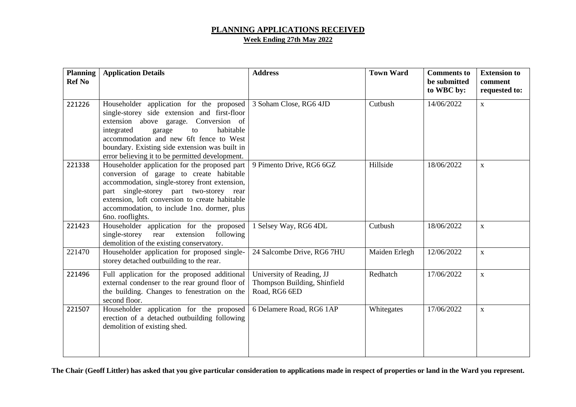## **PLANNING APPLICATIONS RECEIVED Week Ending 27th May 2022**

| <b>Planning</b><br><b>Ref No</b> | <b>Application Details</b>                                                                                                                                                                                                                                                                                                           | <b>Address</b>                                                             | <b>Town Ward</b> | <b>Comments</b> to<br>be submitted<br>to WBC by: | <b>Extension to</b><br>comment<br>requested to: |
|----------------------------------|--------------------------------------------------------------------------------------------------------------------------------------------------------------------------------------------------------------------------------------------------------------------------------------------------------------------------------------|----------------------------------------------------------------------------|------------------|--------------------------------------------------|-------------------------------------------------|
| 221226                           | Householder application for the proposed<br>single-storey side extension and first-floor<br>extension above garage. Conversion of<br>habitable<br>integrated<br>garage<br>${\rm to}$<br>accommodation and new 6ft fence to West<br>boundary. Existing side extension was built in<br>error believing it to be permitted development. | 3 Soham Close, RG6 4JD                                                     | Cutbush          | 14/06/2022                                       | $\mathbf X$                                     |
| 221338                           | Householder application for the proposed part<br>conversion of garage to create habitable<br>accommodation, single-storey front extension,<br>part single-storey part two-storey<br>rear<br>extension, loft conversion to create habitable<br>accommodation, to include 1no. dormer, plus<br>6no. rooflights.                        | 9 Pimento Drive, RG6 6GZ                                                   | Hillside         | 18/06/2022                                       | $\mathbf X$                                     |
| 221423                           | Householder application for the proposed<br>rear<br>extension<br>single-storey<br>following<br>demolition of the existing conservatory.                                                                                                                                                                                              | 1 Selsey Way, RG6 4DL                                                      | Cutbush          | 18/06/2022                                       | $\mathbf{X}$                                    |
| 221470                           | Householder application for proposed single-<br>storey detached outbuilding to the rear.                                                                                                                                                                                                                                             | 24 Salcombe Drive, RG6 7HU                                                 | Maiden Erlegh    | 12/06/2022                                       | $\mathbf X$                                     |
| 221496                           | Full application for the proposed additional<br>external condenser to the rear ground floor of<br>the building. Changes to fenestration on the<br>second floor.                                                                                                                                                                      | University of Reading, JJ<br>Thompson Building, Shinfield<br>Road, RG6 6ED | Redhatch         | 17/06/2022                                       | $\mathbf{X}$                                    |
| 221507                           | Householder application for the proposed<br>erection of a detached outbuilding following<br>demolition of existing shed.                                                                                                                                                                                                             | 6 Delamere Road, RG6 1AP                                                   | Whitegates       | 17/06/2022                                       | $\mathbf X$                                     |

**The Chair (Geoff Littler) has asked that you give particular consideration to applications made in respect of properties or land in the Ward you represent.**